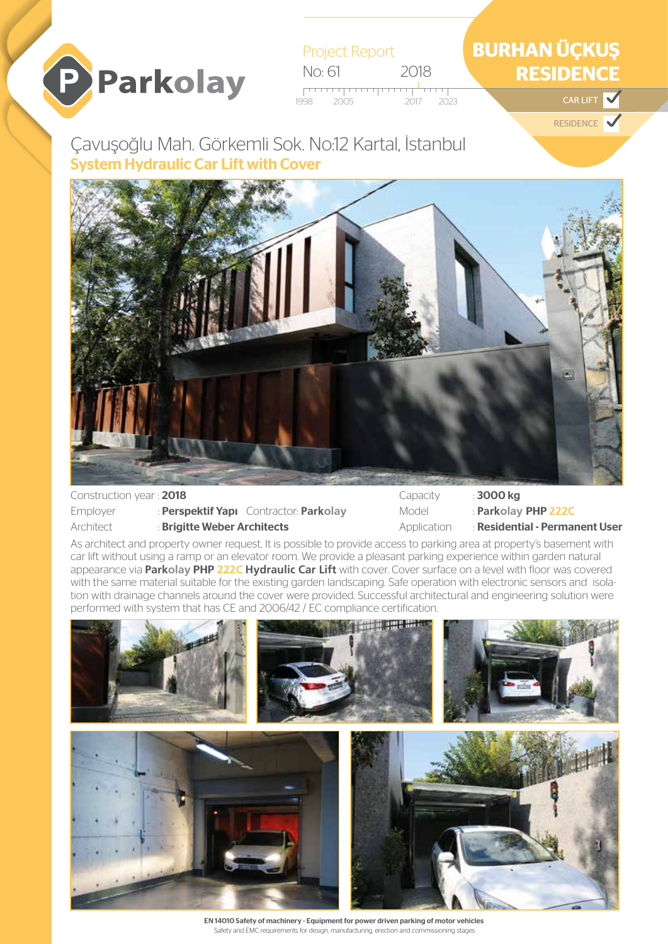

Project Report No: 61 2018 <del>. . . . . . . .</del> 2017 2023 **CAR LIFT** 1998 2023

## **BURHAN ÜÇKUŞ RESIDENCE**

**RESIDENCE** 

## Çavuşoğlu Mah. Görkemli Sok. No:12 Kartal, İstanbul System Hydraulic Car Lift with Cover



Construction year : 2018

Employer : Perspektif Yapı Contractor: **Parkolay**

Architect : Brigitte Weber Architects

Capacity : 3000 kg Model : **Parkolay** PHP **222C** Application : Residential - Permanent User

As architect and property owner request, It is possible to provide access to parking area at property's basement with car lift without using a ramp or an elevator room. We provide a pleasant parking experience within garden natural appearance via **Parkolay** PHP **222C Hydraulic Car Lift** with cover. Cover surface on a level with floor was covered with the same material suitable for the existing garden landscaping. Safe operation with electronic sensors and isolation with drainage channels around the cover were provided. Successful architectural and engineering solution were performed with system that has CE and 2006/42 / EC compliance certification.



EN 14010 Safety of machinery - Equipment for power driven parking of motor vehicles Safety and EMC requirements for design, manufacturing, erection and commissioning stages